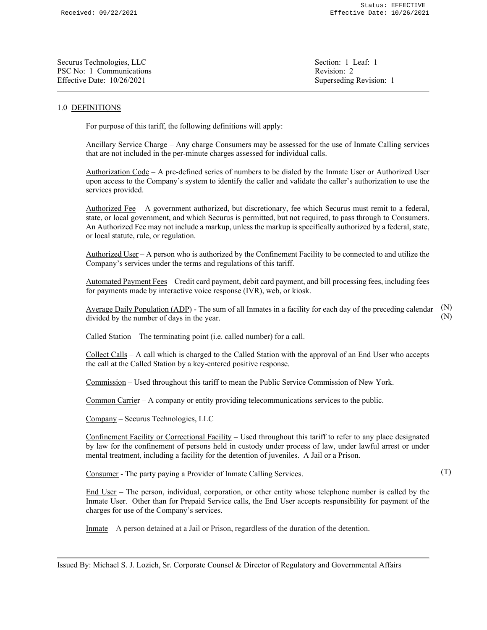| Section: 1 Leaf: 1      |
|-------------------------|
| Revision: 2             |
| Superseding Revision: 1 |
|                         |

## 1.0 DEFINITIONS

For purpose of this tariff, the following definitions will apply:

Ancillary Service Charge – Any charge Consumers may be assessed for the use of Inmate Calling services that are not included in the per-minute charges assessed for individual calls.

Authorization Code – A pre-defined series of numbers to be dialed by the Inmate User or Authorized User upon access to the Company's system to identify the caller and validate the caller's authorization to use the services provided.

Authorized Fee – A government authorized, but discretionary, fee which Securus must remit to a federal, state, or local government, and which Securus is permitted, but not required, to pass through to Consumers. An Authorized Fee may not include a markup, unless the markup is specifically authorized by a federal, state, or local statute, rule, or regulation.

Authorized User – A person who is authorized by the Confinement Facility to be connected to and utilize the Company's services under the terms and regulations of this tariff.

Automated Payment Fees – Credit card payment, debit card payment, and bill processing fees, including fees for payments made by interactive voice response (IVR), web, or kiosk.

Average Daily Population (ADP) - The sum of all Inmates in a facility for each day of the preceding calendar divided by the number of days in the year. (N) (N)

Called Station – The terminating point (i.e. called number) for a call.

Collect Calls – A call which is charged to the Called Station with the approval of an End User who accepts the call at the Called Station by a key-entered positive response.

Commission – Used throughout this tariff to mean the Public Service Commission of New York.

Common Carrier – A company or entity providing telecommunications services to the public.

Company – Securus Technologies, LLC

Confinement Facility or Correctional Facility – Used throughout this tariff to refer to any place designated by law for the confinement of persons held in custody under process of law, under lawful arrest or under mental treatment, including a facility for the detention of juveniles. A Jail or a Prison.

Consumer - The party paying a Provider of Inmate Calling Services.

(T)

End User – The person, individual, corporation, or other entity whose telephone number is called by the Inmate User. Other than for Prepaid Service calls, the End User accepts responsibility for payment of the charges for use of the Company's services.

Inmate – A person detained at a Jail or Prison, regardless of the duration of the detention.

Issued By: Michael S. J. Lozich, Sr. Corporate Counsel & Director of Regulatory and Governmental Affairs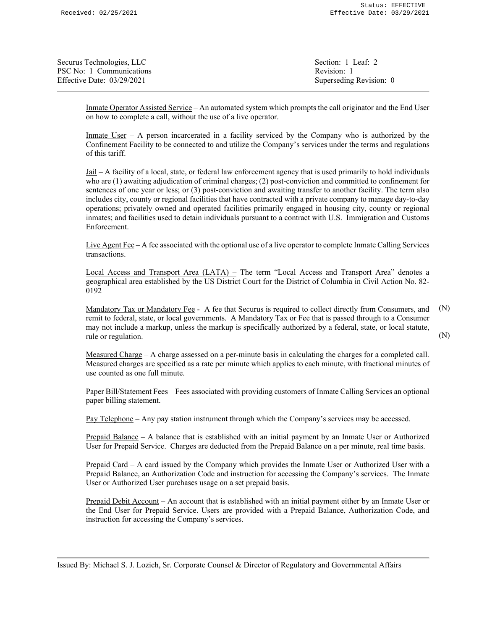| Section: 1 Leaf: 2      |
|-------------------------|
| Revision: 1             |
| Superseding Revision: 0 |
|                         |

Inmate Operator Assisted Service – An automated system which prompts the call originator and the End User on how to complete a call, without the use of a live operator.

Inmate  $User - A$  person incarcerated in a facility serviced by the Company who is authorized by the Confinement Facility to be connected to and utilize the Company's services under the terms and regulations of this tariff.

Jail – A facility of a local, state, or federal law enforcement agency that is used primarily to hold individuals who are (1) awaiting adjudication of criminal charges; (2) post-conviction and committed to confinement for sentences of one year or less; or (3) post-conviction and awaiting transfer to another facility. The term also includes city, county or regional facilities that have contracted with a private company to manage day-to-day operations; privately owned and operated facilities primarily engaged in housing city, county or regional inmates; and facilities used to detain individuals pursuant to a contract with U.S. Immigration and Customs Enforcement.

Live Agent Fee – A fee associated with the optional use of a live operator to complete Inmate Calling Services transactions.

Local Access and Transport Area (LATA) – The term "Local Access and Transport Area" denotes a geographical area established by the US District Court for the District of Columbia in Civil Action No. 82- 0192

Mandatory Tax or Mandatory Fee - A fee that Securus is required to collect directly from Consumers, and remit to federal, state, or local governments. A Mandatory Tax or Fee that is passed through to a Consumer may not include a markup, unless the markup is specifically authorized by a federal, state, or local statute, rule or regulation. (N) (N)

Measured Charge – A charge assessed on a per-minute basis in calculating the charges for a completed call. Measured charges are specified as a rate per minute which applies to each minute, with fractional minutes of use counted as one full minute.

Paper Bill/Statement Fees – Fees associated with providing customers of Inmate Calling Services an optional paper billing statement.

Pay Telephone – Any pay station instrument through which the Company's services may be accessed.

Prepaid Balance – A balance that is established with an initial payment by an Inmate User or Authorized User for Prepaid Service. Charges are deducted from the Prepaid Balance on a per minute, real time basis.

Prepaid Card – A card issued by the Company which provides the Inmate User or Authorized User with a Prepaid Balance, an Authorization Code and instruction for accessing the Company's services. The Inmate User or Authorized User purchases usage on a set prepaid basis.

Prepaid Debit Account – An account that is established with an initial payment either by an Inmate User or the End User for Prepaid Service. Users are provided with a Prepaid Balance, Authorization Code, and instruction for accessing the Company's services.

Issued By: Michael S. J. Lozich, Sr. Corporate Counsel & Director of Regulatory and Governmental Affairs